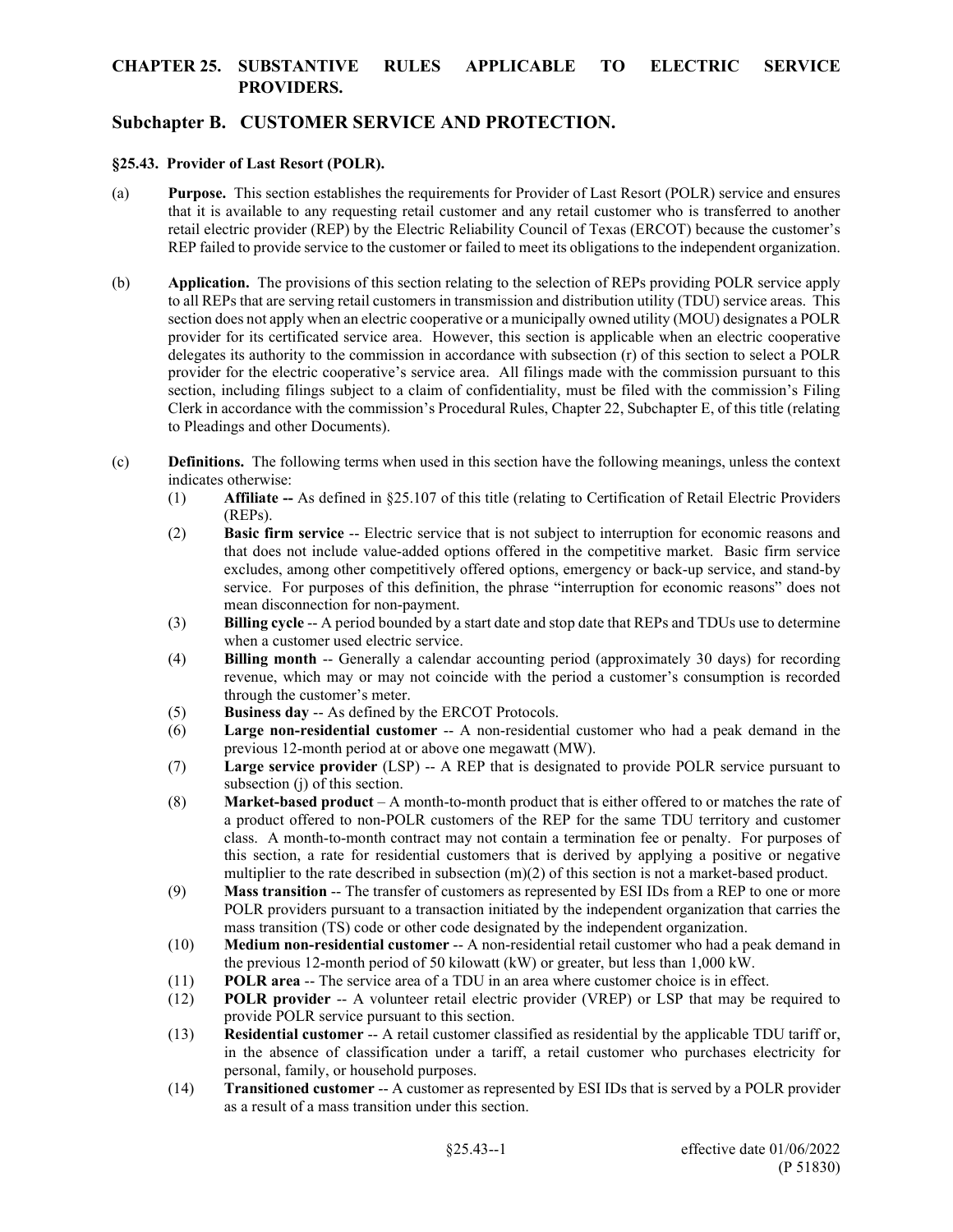# **Subchapter B. CUSTOMER SERVICE AND PROTECTION.**

#### **§25.43. Provider of Last Resort (POLR).**

- (a) **Purpose.** This section establishes the requirements for Provider of Last Resort (POLR) service and ensures that it is available to any requesting retail customer and any retail customer who is transferred to another retail electric provider (REP) by the Electric Reliability Council of Texas (ERCOT) because the customer's REP failed to provide service to the customer or failed to meet its obligations to the independent organization.
- (b) **Application.** The provisions of this section relating to the selection of REPs providing POLR service apply to all REPs that are serving retail customers in transmission and distribution utility (TDU) service areas. This section does not apply when an electric cooperative or a municipally owned utility (MOU) designates a POLR provider for its certificated service area. However, this section is applicable when an electric cooperative delegates its authority to the commission in accordance with subsection (r) of this section to select a POLR provider for the electric cooperative's service area. All filings made with the commission pursuant to this section, including filings subject to a claim of confidentiality, must be filed with the commission's Filing Clerk in accordance with the commission's Procedural Rules, Chapter 22, Subchapter E, of this title (relating to Pleadings and other Documents).
- (c) **Definitions.** The following terms when used in this section have the following meanings, unless the context indicates otherwise:
	- (1) **Affiliate --** As defined in §25.107 of this title (relating to Certification of Retail Electric Providers (REPs).
	- (2) **Basic firm service** -- Electric service that is not subject to interruption for economic reasons and that does not include value-added options offered in the competitive market. Basic firm service excludes, among other competitively offered options, emergency or back-up service, and stand-by service. For purposes of this definition, the phrase "interruption for economic reasons" does not mean disconnection for non-payment.
	- (3) **Billing cycle** -- A period bounded by a start date and stop date that REPs and TDUs use to determine when a customer used electric service.
	- (4) **Billing month** -- Generally a calendar accounting period (approximately 30 days) for recording revenue, which may or may not coincide with the period a customer's consumption is recorded through the customer's meter.
	- (5) **Business day** -- As defined by the ERCOT Protocols.
	- (6) **Large non-residential customer** -- A non-residential customer who had a peak demand in the previous 12-month period at or above one megawatt (MW).
	- (7) **Large service provider** (LSP) -- A REP that is designated to provide POLR service pursuant to subsection (j) of this section.
	- (8) **Market-based product**  A month-to-month product that is either offered to or matches the rate of a product offered to non-POLR customers of the REP for the same TDU territory and customer class. A month-to-month contract may not contain a termination fee or penalty. For purposes of this section, a rate for residential customers that is derived by applying a positive or negative multiplier to the rate described in subsection (m)(2) of this section is not a market-based product.
	- (9) **Mass transition** -- The transfer of customers as represented by ESI IDs from a REP to one or more POLR providers pursuant to a transaction initiated by the independent organization that carries the mass transition (TS) code or other code designated by the independent organization.
	- (10) **Medium non-residential customer** -- A non-residential retail customer who had a peak demand in the previous 12-month period of 50 kilowatt (kW) or greater, but less than 1,000 kW.
	- (11) **POLR area** -- The service area of a TDU in an area where customer choice is in effect.
	- (12) **POLR provider** -- A volunteer retail electric provider (VREP) or LSP that may be required to provide POLR service pursuant to this section.
	- (13) **Residential customer** -- A retail customer classified as residential by the applicable TDU tariff or, in the absence of classification under a tariff, a retail customer who purchases electricity for personal, family, or household purposes.
	- (14) **Transitioned customer** -- A customer as represented by ESI IDs that is served by a POLR provider as a result of a mass transition under this section.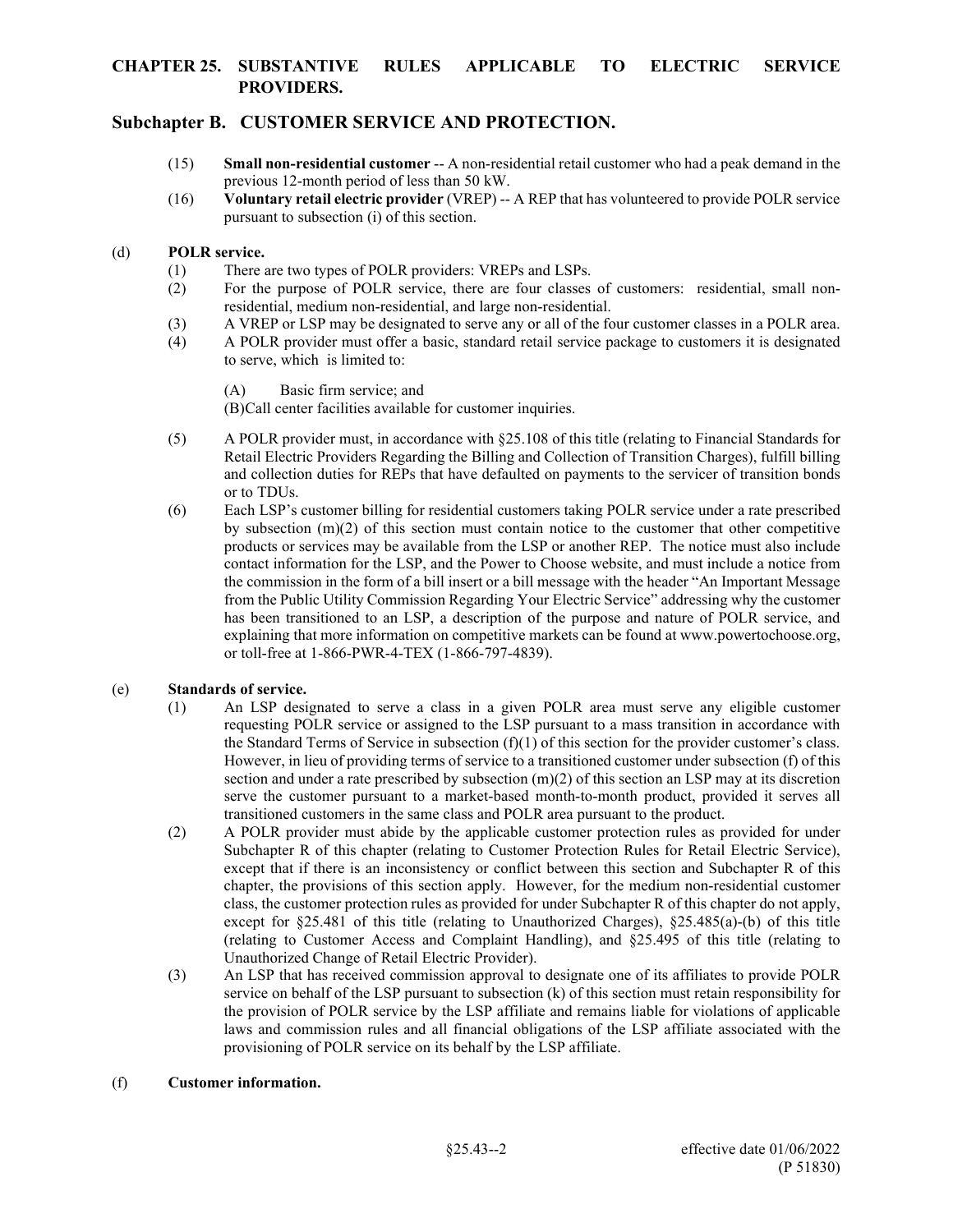# **Subchapter B. CUSTOMER SERVICE AND PROTECTION.**

- (15) **Small non-residential customer** -- A non-residential retail customer who had a peak demand in the previous 12-month period of less than 50 kW.
- (16) **Voluntary retail electric provider** (VREP) -- A REP that has volunteered to provide POLR service pursuant to subsection (i) of this section.

#### (d) **POLR service.**

- (1) There are two types of POLR providers: VREPs and LSPs.
- (2) For the purpose of POLR service, there are four classes of customers: residential, small nonresidential, medium non-residential, and large non-residential.
- (3) A VREP or LSP may be designated to serve any or all of the four customer classes in a POLR area.
- (4) A POLR provider must offer a basic, standard retail service package to customers it is designated to serve, which is limited to:

(A) Basic firm service; and

(B)Call center facilities available for customer inquiries.

- (5) A POLR provider must, in accordance with §25.108 of this title (relating to Financial Standards for Retail Electric Providers Regarding the Billing and Collection of Transition Charges), fulfill billing and collection duties for REPs that have defaulted on payments to the servicer of transition bonds or to TDUs.
- (6) Each LSP's customer billing for residential customers taking POLR service under a rate prescribed by subsection (m)(2) of this section must contain notice to the customer that other competitive products or services may be available from the LSP or another REP. The notice must also include contact information for the LSP, and the Power to Choose website, and must include a notice from the commission in the form of a bill insert or a bill message with the header "An Important Message from the Public Utility Commission Regarding Your Electric Service" addressing why the customer has been transitioned to an LSP, a description of the purpose and nature of POLR service, and explaining that more information on competitive markets can be found at www.powertochoose.org, or toll-free at 1-866-PWR-4-TEX (1-866-797-4839).

### (e) **Standards of service.**

- (1) An LSP designated to serve a class in a given POLR area must serve any eligible customer requesting POLR service or assigned to the LSP pursuant to a mass transition in accordance with the Standard Terms of Service in subsection  $(f)(1)$  of this section for the provider customer's class. However, in lieu of providing terms of service to a transitioned customer under subsection (f) of this section and under a rate prescribed by subsection  $(m)(2)$  of this section an LSP may at its discretion serve the customer pursuant to a market-based month-to-month product, provided it serves all transitioned customers in the same class and POLR area pursuant to the product.
- (2) A POLR provider must abide by the applicable customer protection rules as provided for under Subchapter R of this chapter (relating to Customer Protection Rules for Retail Electric Service), except that if there is an inconsistency or conflict between this section and Subchapter R of this chapter, the provisions of this section apply. However, for the medium non-residential customer class, the customer protection rules as provided for under Subchapter R of this chapter do not apply, except for §25.481 of this title (relating to Unauthorized Charges), §25.485(a)-(b) of this title (relating to Customer Access and Complaint Handling), and §25.495 of this title (relating to Unauthorized Change of Retail Electric Provider).
- (3) An LSP that has received commission approval to designate one of its affiliates to provide POLR service on behalf of the LSP pursuant to subsection (k) of this section must retain responsibility for the provision of POLR service by the LSP affiliate and remains liable for violations of applicable laws and commission rules and all financial obligations of the LSP affiliate associated with the provisioning of POLR service on its behalf by the LSP affiliate.

#### (f) **Customer information.**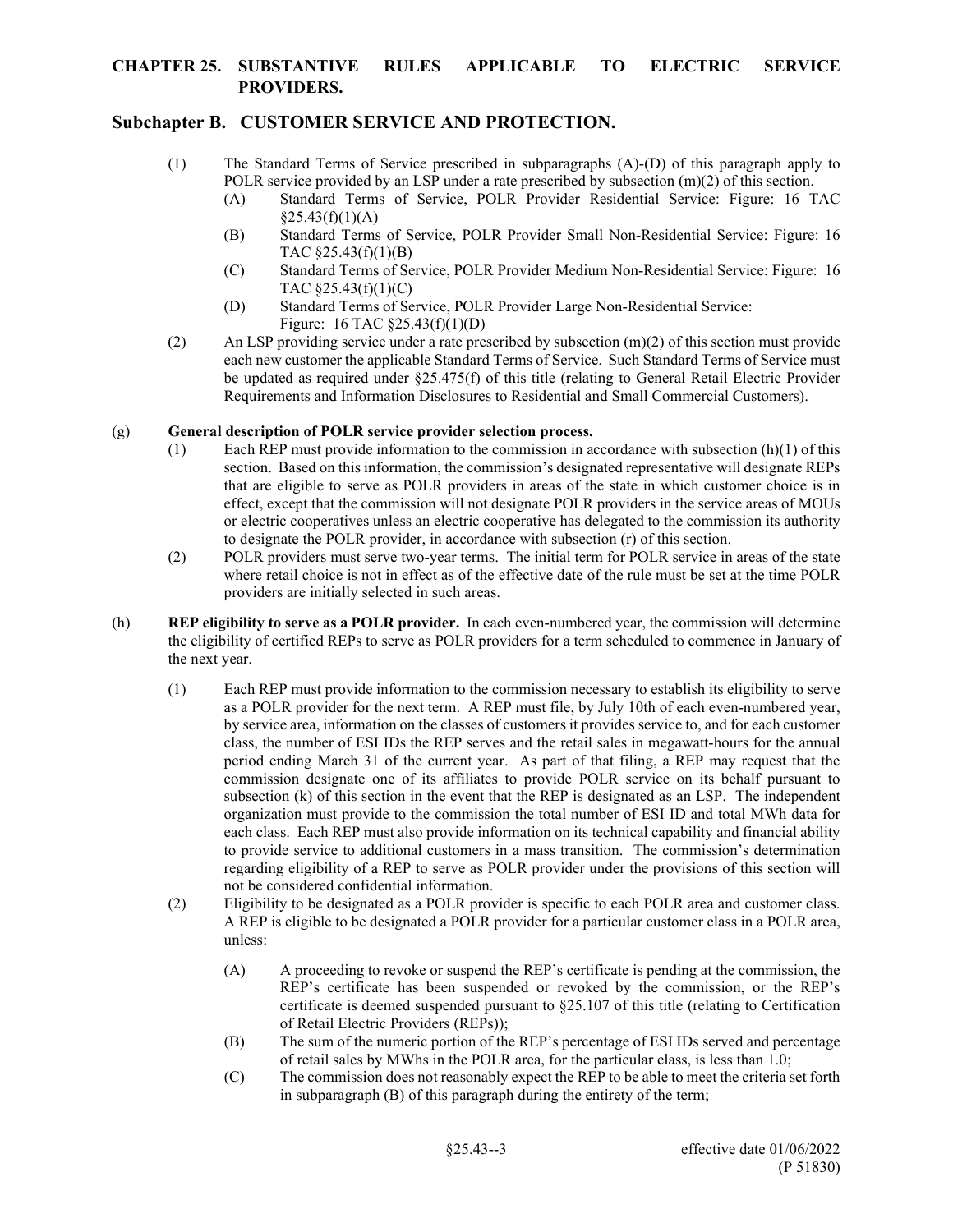# **Subchapter B. CUSTOMER SERVICE AND PROTECTION.**

- (1) The Standard Terms of Service prescribed in subparagraphs (A)-(D) of this paragraph apply to POLR service provided by an LSP under a rate prescribed by subsection  $(m)(2)$  of this section.
	- (A) Standard Terms of Service, POLR Provider Residential Service: Figure: 16 TAC  $$25.43(f)(1)(A)$
	- (B) Standard Terms of Service, POLR Provider Small Non-Residential Service: Figure: 16 TAC §25.43(f)(1)(B)
	- (C) Standard Terms of Service, POLR Provider Medium Non-Residential Service: Figure: 16 TAC §25.43(f)(1)(C)
	- (D) Standard Terms of Service, POLR Provider Large Non-Residential Service: Figure: 16 TAC §25.43(f)(1)(D)
- (2) An LSP providing service under a rate prescribed by subsection  $(m)(2)$  of this section must provide each new customer the applicable Standard Terms of Service. Such Standard Terms of Service must be updated as required under §25.475(f) of this title (relating to General Retail Electric Provider Requirements and Information Disclosures to Residential and Small Commercial Customers).

#### (g) **General description of POLR service provider selection process.**

- (1) Each REP must provide information to the commission in accordance with subsection  $(h)(1)$  of this section. Based on this information, the commission's designated representative will designate REPs that are eligible to serve as POLR providers in areas of the state in which customer choice is in effect, except that the commission will not designate POLR providers in the service areas of MOUs or electric cooperatives unless an electric cooperative has delegated to the commission its authority to designate the POLR provider, in accordance with subsection (r) of this section.
- (2) POLR providers must serve two-year terms. The initial term for POLR service in areas of the state where retail choice is not in effect as of the effective date of the rule must be set at the time POLR providers are initially selected in such areas.
- (h) **REP eligibility to serve as a POLR provider.** In each even-numbered year, the commission will determine the eligibility of certified REPs to serve as POLR providers for a term scheduled to commence in January of the next year.
	- (1) Each REP must provide information to the commission necessary to establish its eligibility to serve as a POLR provider for the next term. A REP must file, by July 10th of each even-numbered year, by service area, information on the classes of customers it provides service to, and for each customer class, the number of ESI IDs the REP serves and the retail sales in megawatt-hours for the annual period ending March 31 of the current year. As part of that filing, a REP may request that the commission designate one of its affiliates to provide POLR service on its behalf pursuant to subsection (k) of this section in the event that the REP is designated as an LSP. The independent organization must provide to the commission the total number of ESI ID and total MWh data for each class. Each REP must also provide information on its technical capability and financial ability to provide service to additional customers in a mass transition. The commission's determination regarding eligibility of a REP to serve as POLR provider under the provisions of this section will not be considered confidential information.
	- (2) Eligibility to be designated as a POLR provider is specific to each POLR area and customer class. A REP is eligible to be designated a POLR provider for a particular customer class in a POLR area, unless:
		- (A) A proceeding to revoke or suspend the REP's certificate is pending at the commission, the REP's certificate has been suspended or revoked by the commission, or the REP's certificate is deemed suspended pursuant to §25.107 of this title (relating to Certification of Retail Electric Providers (REPs));
		- (B) The sum of the numeric portion of the REP's percentage of ESI IDs served and percentage of retail sales by MWhs in the POLR area, for the particular class, is less than 1.0;
		- (C) The commission does not reasonably expect the REP to be able to meet the criteria set forth in subparagraph (B) of this paragraph during the entirety of the term;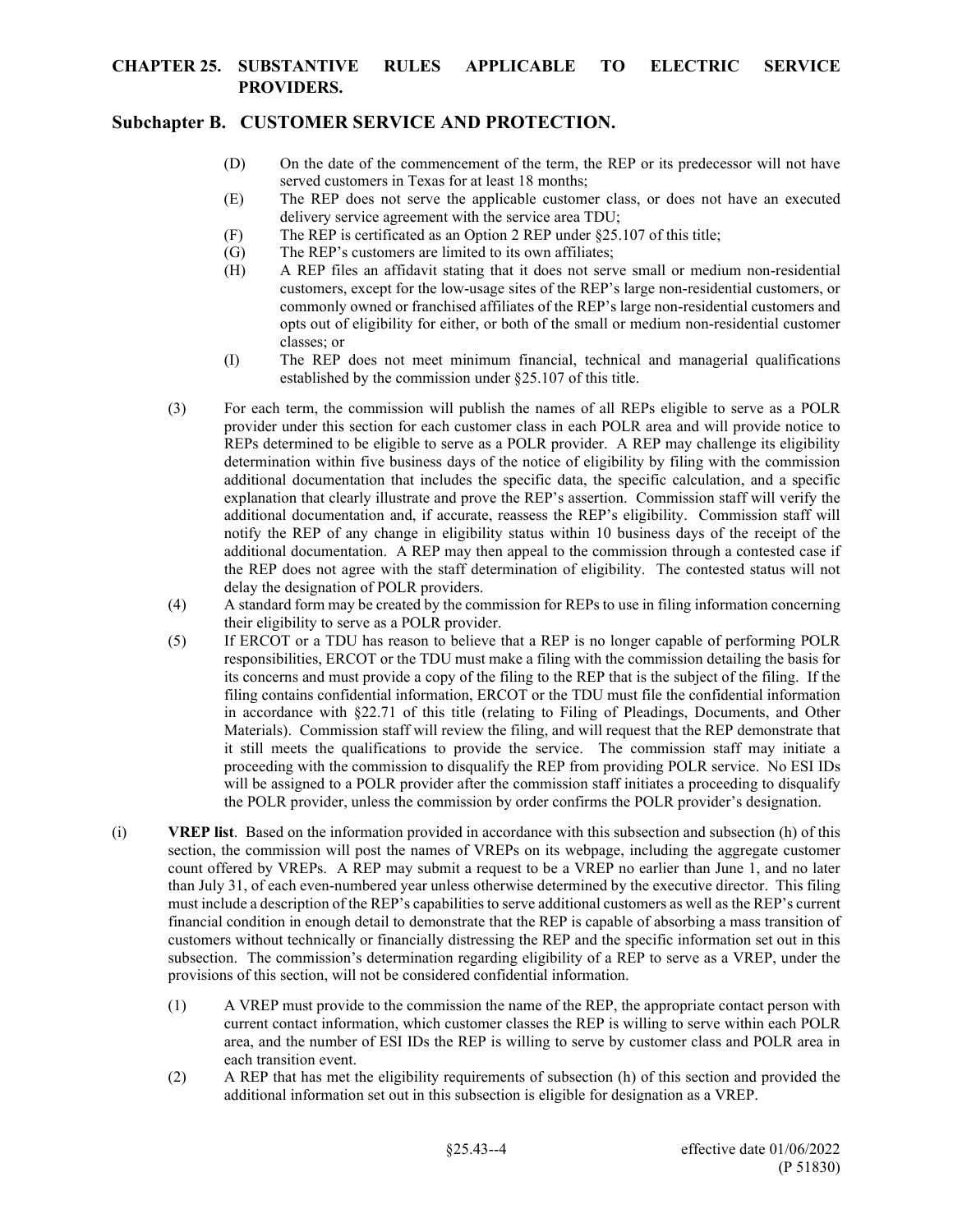# **Subchapter B. CUSTOMER SERVICE AND PROTECTION.**

- (D) On the date of the commencement of the term, the REP or its predecessor will not have served customers in Texas for at least 18 months;
- (E) The REP does not serve the applicable customer class, or does not have an executed delivery service agreement with the service area TDU;
- (F) The REP is certificated as an Option 2 REP under §25.107 of this title;
- (G) The REP's customers are limited to its own affiliates;
- (H) A REP files an affidavit stating that it does not serve small or medium non-residential customers, except for the low-usage sites of the REP's large non-residential customers, or commonly owned or franchised affiliates of the REP's large non-residential customers and opts out of eligibility for either, or both of the small or medium non-residential customer classes; or
- (I) The REP does not meet minimum financial, technical and managerial qualifications established by the commission under §25.107 of this title.
- (3) For each term, the commission will publish the names of all REPs eligible to serve as a POLR provider under this section for each customer class in each POLR area and will provide notice to REPs determined to be eligible to serve as a POLR provider. A REP may challenge its eligibility determination within five business days of the notice of eligibility by filing with the commission additional documentation that includes the specific data, the specific calculation, and a specific explanation that clearly illustrate and prove the REP's assertion. Commission staff will verify the additional documentation and, if accurate, reassess the REP's eligibility. Commission staff will notify the REP of any change in eligibility status within 10 business days of the receipt of the additional documentation. A REP may then appeal to the commission through a contested case if the REP does not agree with the staff determination of eligibility. The contested status will not delay the designation of POLR providers.
- (4) A standard form may be created by the commission for REPs to use in filing information concerning their eligibility to serve as a POLR provider.
- (5) If ERCOT or a TDU has reason to believe that a REP is no longer capable of performing POLR responsibilities, ERCOT or the TDU must make a filing with the commission detailing the basis for its concerns and must provide a copy of the filing to the REP that is the subject of the filing. If the filing contains confidential information, ERCOT or the TDU must file the confidential information in accordance with §22.71 of this title (relating to Filing of Pleadings, Documents, and Other Materials). Commission staff will review the filing, and will request that the REP demonstrate that it still meets the qualifications to provide the service. The commission staff may initiate a proceeding with the commission to disqualify the REP from providing POLR service. No ESI IDs will be assigned to a POLR provider after the commission staff initiates a proceeding to disqualify the POLR provider, unless the commission by order confirms the POLR provider's designation.
- (i) **VREP list**. Based on the information provided in accordance with this subsection and subsection (h) of this section, the commission will post the names of VREPs on its webpage, including the aggregate customer count offered by VREPs. A REP may submit a request to be a VREP no earlier than June 1, and no later than July 31, of each even-numbered year unless otherwise determined by the executive director. This filing must include a description of the REP's capabilities to serve additional customers as well as the REP's current financial condition in enough detail to demonstrate that the REP is capable of absorbing a mass transition of customers without technically or financially distressing the REP and the specific information set out in this subsection. The commission's determination regarding eligibility of a REP to serve as a VREP, under the provisions of this section, will not be considered confidential information.
	- (1) A VREP must provide to the commission the name of the REP, the appropriate contact person with current contact information, which customer classes the REP is willing to serve within each POLR area, and the number of ESI IDs the REP is willing to serve by customer class and POLR area in each transition event.
	- (2) A REP that has met the eligibility requirements of subsection (h) of this section and provided the additional information set out in this subsection is eligible for designation as a VREP.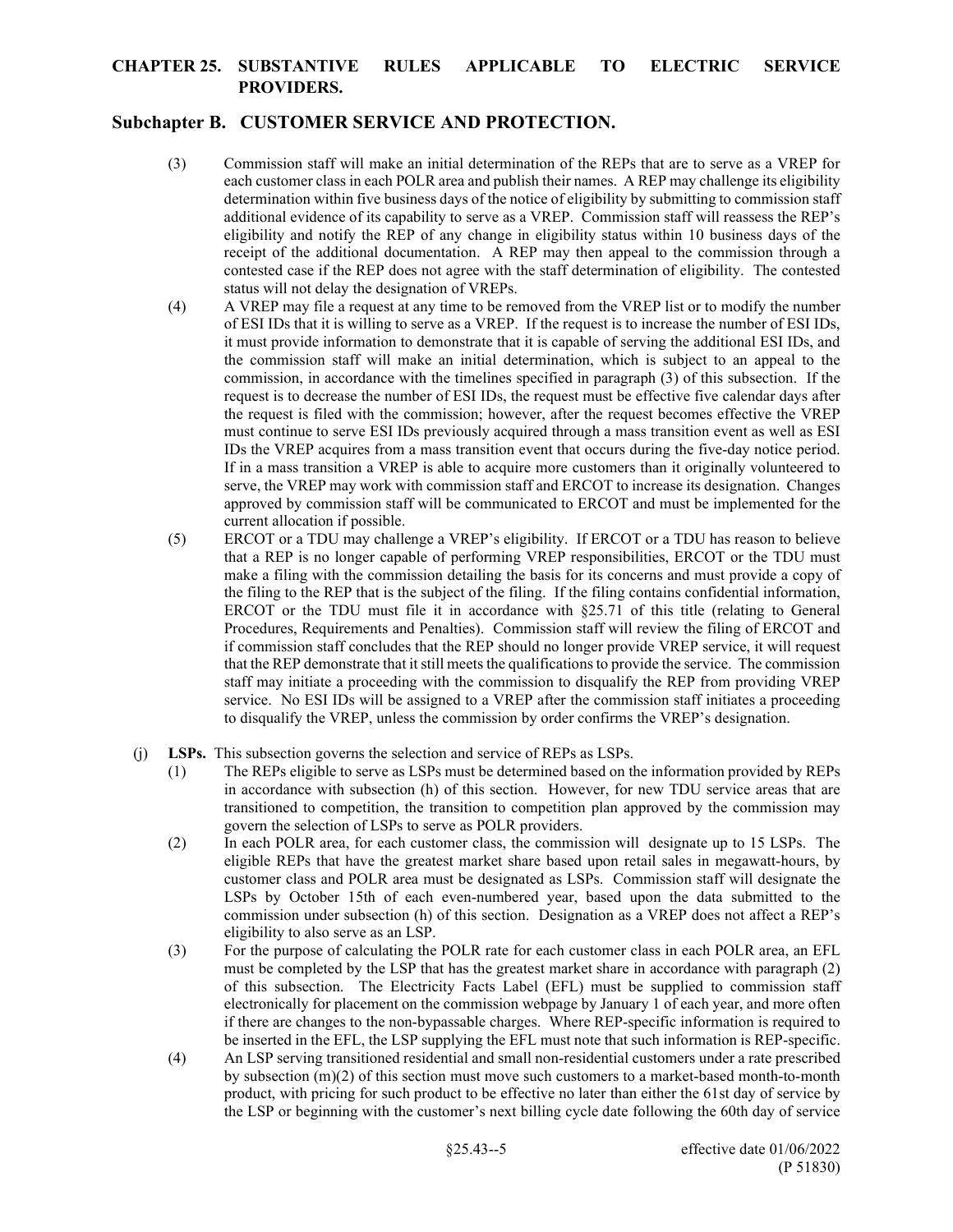# **Subchapter B. CUSTOMER SERVICE AND PROTECTION.**

- (3) Commission staff will make an initial determination of the REPs that are to serve as a VREP for each customer class in each POLR area and publish their names. A REP may challenge its eligibility determination within five business days of the notice of eligibility by submitting to commission staff additional evidence of its capability to serve as a VREP. Commission staff will reassess the REP's eligibility and notify the REP of any change in eligibility status within 10 business days of the receipt of the additional documentation. A REP may then appeal to the commission through a contested case if the REP does not agree with the staff determination of eligibility. The contested status will not delay the designation of VREPs.
- (4) A VREP may file a request at any time to be removed from the VREP list or to modify the number of ESI IDs that it is willing to serve as a VREP. If the request is to increase the number of ESI IDs, it must provide information to demonstrate that it is capable of serving the additional ESI IDs, and the commission staff will make an initial determination, which is subject to an appeal to the commission, in accordance with the timelines specified in paragraph (3) of this subsection. If the request is to decrease the number of ESI IDs, the request must be effective five calendar days after the request is filed with the commission; however, after the request becomes effective the VREP must continue to serve ESI IDs previously acquired through a mass transition event as well as ESI IDs the VREP acquires from a mass transition event that occurs during the five-day notice period. If in a mass transition a VREP is able to acquire more customers than it originally volunteered to serve, the VREP may work with commission staff and ERCOT to increase its designation. Changes approved by commission staff will be communicated to ERCOT and must be implemented for the current allocation if possible.
- (5) ERCOT or a TDU may challenge a VREP's eligibility. If ERCOT or a TDU has reason to believe that a REP is no longer capable of performing VREP responsibilities, ERCOT or the TDU must make a filing with the commission detailing the basis for its concerns and must provide a copy of the filing to the REP that is the subject of the filing. If the filing contains confidential information, ERCOT or the TDU must file it in accordance with  $\S25.71$  of this title (relating to General Procedures, Requirements and Penalties). Commission staff will review the filing of ERCOT and if commission staff concludes that the REP should no longer provide VREP service, it will request that the REP demonstrate that it still meets the qualifications to provide the service. The commission staff may initiate a proceeding with the commission to disqualify the REP from providing VREP service. No ESI IDs will be assigned to a VREP after the commission staff initiates a proceeding to disqualify the VREP, unless the commission by order confirms the VREP's designation.
- (j) **LSPs.** This subsection governs the selection and service of REPs as LSPs.
	- (1) The REPs eligible to serve as LSPs must be determined based on the information provided by REPs in accordance with subsection (h) of this section. However, for new TDU service areas that are transitioned to competition, the transition to competition plan approved by the commission may govern the selection of LSPs to serve as POLR providers.
	- (2) In each POLR area, for each customer class, the commission will designate up to 15 LSPs. The eligible REPs that have the greatest market share based upon retail sales in megawatt-hours, by customer class and POLR area must be designated as LSPs. Commission staff will designate the LSPs by October 15th of each even-numbered year, based upon the data submitted to the commission under subsection (h) of this section. Designation as a VREP does not affect a REP's eligibility to also serve as an LSP.
	- (3) For the purpose of calculating the POLR rate for each customer class in each POLR area, an EFL must be completed by the LSP that has the greatest market share in accordance with paragraph (2) of this subsection. The Electricity Facts Label (EFL) must be supplied to commission staff electronically for placement on the commission webpage by January 1 of each year, and more often if there are changes to the non-bypassable charges. Where REP-specific information is required to be inserted in the EFL, the LSP supplying the EFL must note that such information is REP-specific.
	- (4) An LSP serving transitioned residential and small non-residential customers under a rate prescribed by subsection (m)(2) of this section must move such customers to a market-based month-to-month product, with pricing for such product to be effective no later than either the 61st day of service by the LSP or beginning with the customer's next billing cycle date following the 60th day of service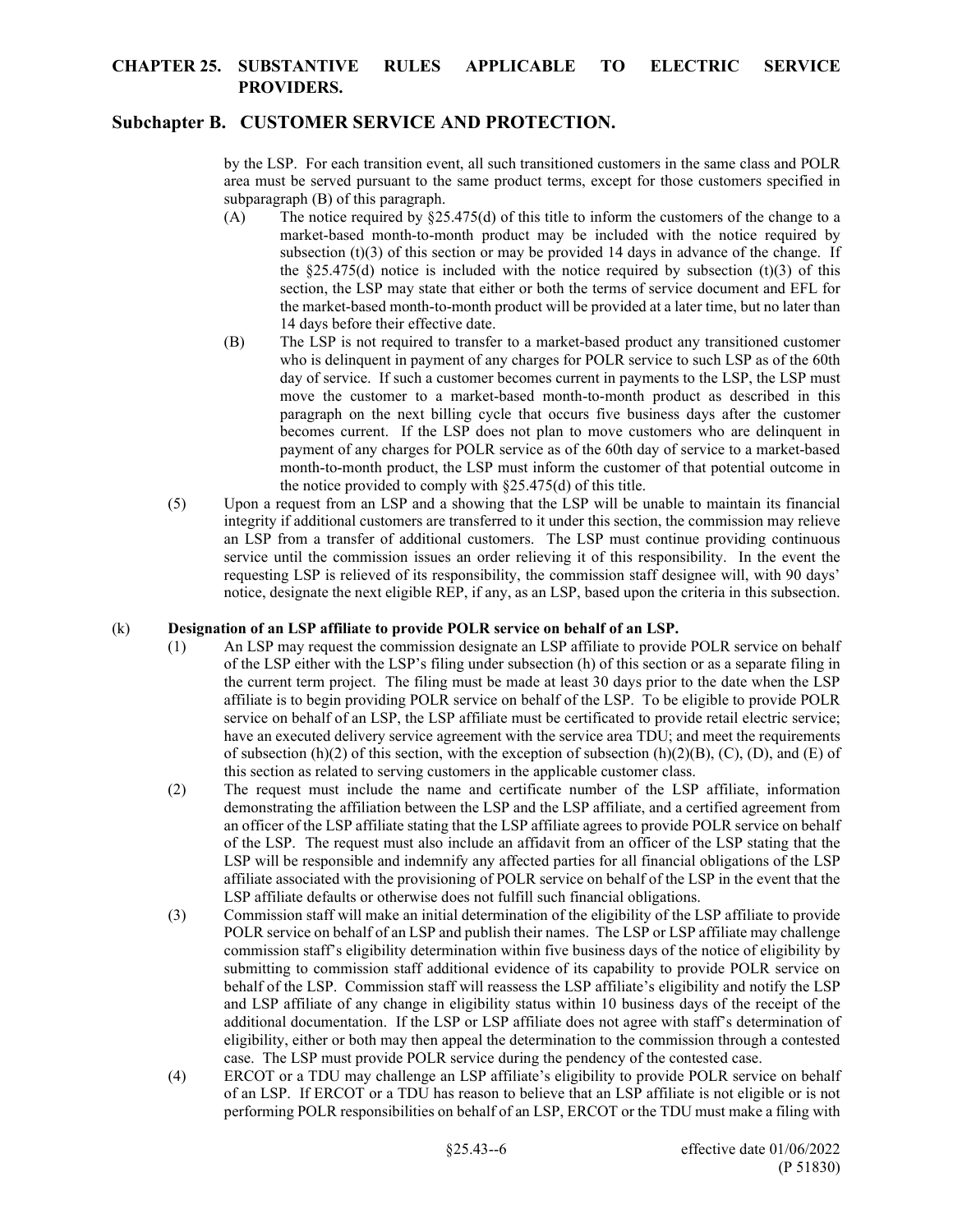#### **Subchapter B. CUSTOMER SERVICE AND PROTECTION.**

by the LSP. For each transition event, all such transitioned customers in the same class and POLR area must be served pursuant to the same product terms, except for those customers specified in subparagraph (B) of this paragraph.

- (A) The notice required by  $\S25.475(d)$  of this title to inform the customers of the change to a market-based month-to-month product may be included with the notice required by subsection  $(t)(3)$  of this section or may be provided 14 days in advance of the change. If the  $\$25.475(d)$  notice is included with the notice required by subsection (t)(3) of this section, the LSP may state that either or both the terms of service document and EFL for the market-based month-to-month product will be provided at a later time, but no later than 14 days before their effective date.
- (B) The LSP is not required to transfer to a market-based product any transitioned customer who is delinquent in payment of any charges for POLR service to such LSP as of the 60th day of service. If such a customer becomes current in payments to the LSP, the LSP must move the customer to a market-based month-to-month product as described in this paragraph on the next billing cycle that occurs five business days after the customer becomes current. If the LSP does not plan to move customers who are delinquent in payment of any charges for POLR service as of the 60th day of service to a market-based month-to-month product, the LSP must inform the customer of that potential outcome in the notice provided to comply with §25.475(d) of this title.
- (5) Upon a request from an LSP and a showing that the LSP will be unable to maintain its financial integrity if additional customers are transferred to it under this section, the commission may relieve an LSP from a transfer of additional customers. The LSP must continue providing continuous service until the commission issues an order relieving it of this responsibility. In the event the requesting LSP is relieved of its responsibility, the commission staff designee will, with 90 days' notice, designate the next eligible REP, if any, as an LSP, based upon the criteria in this subsection.

#### (k) **Designation of an LSP affiliate to provide POLR service on behalf of an LSP.**

- (1) An LSP may request the commission designate an LSP affiliate to provide POLR service on behalf of the LSP either with the LSP's filing under subsection (h) of this section or as a separate filing in the current term project. The filing must be made at least 30 days prior to the date when the LSP affiliate is to begin providing POLR service on behalf of the LSP. To be eligible to provide POLR service on behalf of an LSP, the LSP affiliate must be certificated to provide retail electric service; have an executed delivery service agreement with the service area TDU; and meet the requirements of subsection (h)(2) of this section, with the exception of subsection (h)(2)(B), (C), (D), and (E) of this section as related to serving customers in the applicable customer class.
- (2) The request must include the name and certificate number of the LSP affiliate, information demonstrating the affiliation between the LSP and the LSP affiliate, and a certified agreement from an officer of the LSP affiliate stating that the LSP affiliate agrees to provide POLR service on behalf of the LSP. The request must also include an affidavit from an officer of the LSP stating that the LSP will be responsible and indemnify any affected parties for all financial obligations of the LSP affiliate associated with the provisioning of POLR service on behalf of the LSP in the event that the LSP affiliate defaults or otherwise does not fulfill such financial obligations.
- (3) Commission staff will make an initial determination of the eligibility of the LSP affiliate to provide POLR service on behalf of an LSP and publish their names. The LSP or LSP affiliate may challenge commission staff's eligibility determination within five business days of the notice of eligibility by submitting to commission staff additional evidence of its capability to provide POLR service on behalf of the LSP. Commission staff will reassess the LSP affiliate's eligibility and notify the LSP and LSP affiliate of any change in eligibility status within 10 business days of the receipt of the additional documentation. If the LSP or LSP affiliate does not agree with staff's determination of eligibility, either or both may then appeal the determination to the commission through a contested case. The LSP must provide POLR service during the pendency of the contested case.
- (4) ERCOT or a TDU may challenge an LSP affiliate's eligibility to provide POLR service on behalf of an LSP. If ERCOT or a TDU has reason to believe that an LSP affiliate is not eligible or is not performing POLR responsibilities on behalf of an LSP, ERCOT or the TDU must make a filing with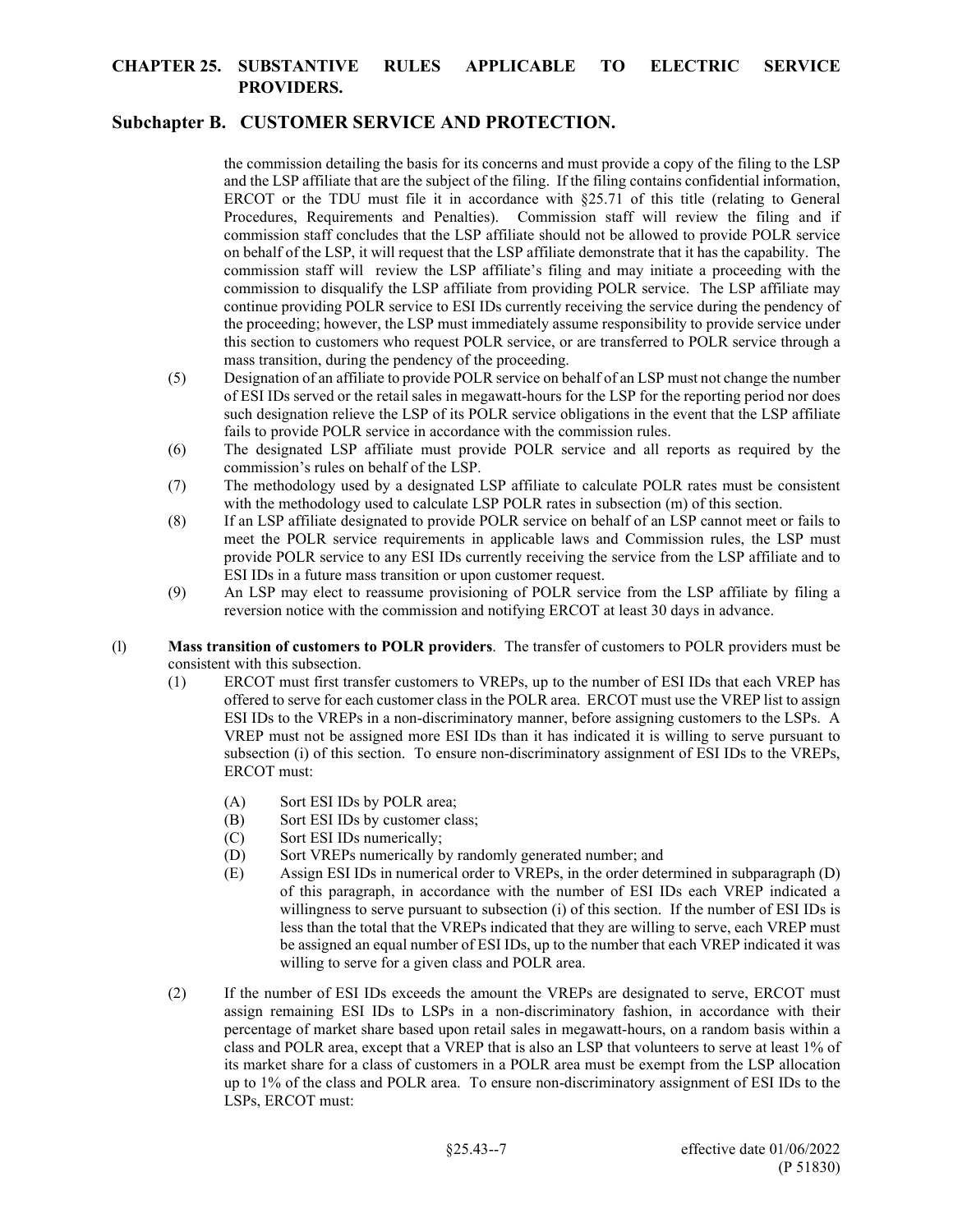# **Subchapter B. CUSTOMER SERVICE AND PROTECTION.**

the commission detailing the basis for its concerns and must provide a copy of the filing to the LSP and the LSP affiliate that are the subject of the filing. If the filing contains confidential information, ERCOT or the TDU must file it in accordance with  $\S25.71$  of this title (relating to General Procedures, Requirements and Penalties). Commission staff will review the filing and if commission staff concludes that the LSP affiliate should not be allowed to provide POLR service on behalf of the LSP, it will request that the LSP affiliate demonstrate that it has the capability. The commission staff will review the LSP affiliate's filing and may initiate a proceeding with the commission to disqualify the LSP affiliate from providing POLR service. The LSP affiliate may continue providing POLR service to ESI IDs currently receiving the service during the pendency of the proceeding; however, the LSP must immediately assume responsibility to provide service under this section to customers who request POLR service, or are transferred to POLR service through a mass transition, during the pendency of the proceeding.

- (5) Designation of an affiliate to provide POLR service on behalf of an LSP must not change the number of ESI IDs served or the retail sales in megawatt-hours for the LSP for the reporting period nor does such designation relieve the LSP of its POLR service obligations in the event that the LSP affiliate fails to provide POLR service in accordance with the commission rules.
- (6) The designated LSP affiliate must provide POLR service and all reports as required by the commission's rules on behalf of the LSP.
- (7) The methodology used by a designated LSP affiliate to calculate POLR rates must be consistent with the methodology used to calculate LSP POLR rates in subsection (m) of this section.
- (8) If an LSP affiliate designated to provide POLR service on behalf of an LSP cannot meet or fails to meet the POLR service requirements in applicable laws and Commission rules, the LSP must provide POLR service to any ESI IDs currently receiving the service from the LSP affiliate and to ESI IDs in a future mass transition or upon customer request.
- (9) An LSP may elect to reassume provisioning of POLR service from the LSP affiliate by filing a reversion notice with the commission and notifying ERCOT at least 30 days in advance.
- (l) **Mass transition of customers to POLR providers**. The transfer of customers to POLR providers must be consistent with this subsection.
	- (1) ERCOT must first transfer customers to VREPs, up to the number of ESI IDs that each VREP has offered to serve for each customer class in the POLR area. ERCOT must use the VREP list to assign ESI IDs to the VREPs in a non-discriminatory manner, before assigning customers to the LSPs. A VREP must not be assigned more ESI IDs than it has indicated it is willing to serve pursuant to subsection (i) of this section. To ensure non-discriminatory assignment of ESI IDs to the VREPs, ERCOT must:
		- (A) Sort ESI IDs by POLR area;
		- (B) Sort ESI IDs by customer class;
		- (C) Sort ESI IDs numerically;
		- (D) Sort VREPs numerically by randomly generated number; and
		- (E) Assign ESI IDs in numerical order to VREPs, in the order determined in subparagraph (D) of this paragraph, in accordance with the number of ESI IDs each VREP indicated a willingness to serve pursuant to subsection (i) of this section. If the number of ESI IDs is less than the total that the VREPs indicated that they are willing to serve, each VREP must be assigned an equal number of ESI IDs, up to the number that each VREP indicated it was willing to serve for a given class and POLR area.
	- (2) If the number of ESI IDs exceeds the amount the VREPs are designated to serve, ERCOT must assign remaining ESI IDs to LSPs in a non-discriminatory fashion, in accordance with their percentage of market share based upon retail sales in megawatt-hours, on a random basis within a class and POLR area, except that a VREP that is also an LSP that volunteers to serve at least 1% of its market share for a class of customers in a POLR area must be exempt from the LSP allocation up to 1% of the class and POLR area. To ensure non-discriminatory assignment of ESI IDs to the LSPs, ERCOT must: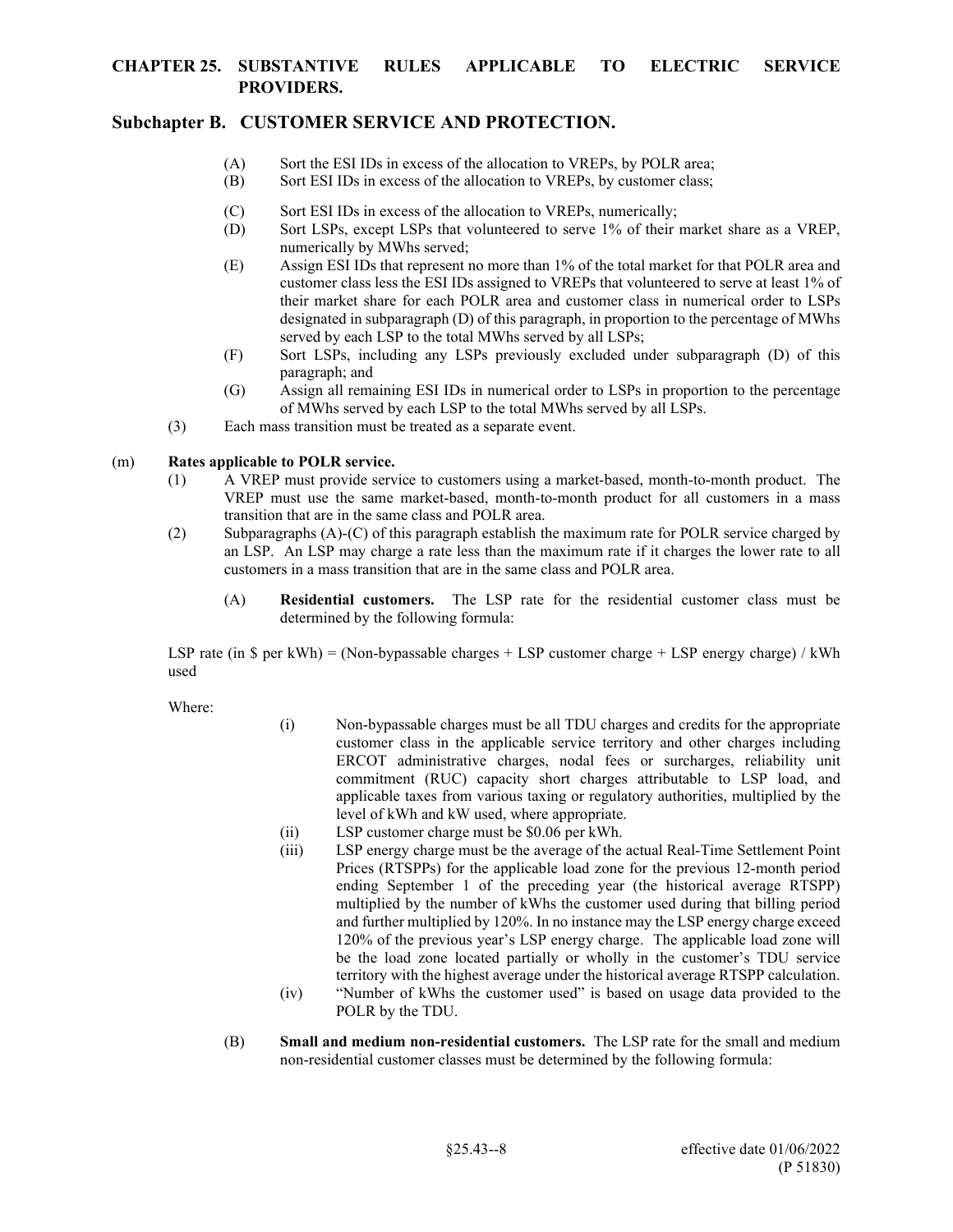# **Subchapter B. CUSTOMER SERVICE AND PROTECTION.**

- (A) Sort the ESI IDs in excess of the allocation to VREPs, by POLR area;
- (B) Sort ESI IDs in excess of the allocation to VREPs, by customer class;
- (C) Sort ESI IDs in excess of the allocation to VREPs, numerically;
- (D) Sort LSPs, except LSPs that volunteered to serve 1% of their market share as a VREP, numerically by MWhs served;
- (E) Assign ESI IDs that represent no more than 1% of the total market for that POLR area and customer class less the ESI IDs assigned to VREPs that volunteered to serve at least 1% of their market share for each POLR area and customer class in numerical order to LSPs designated in subparagraph (D) of this paragraph, in proportion to the percentage of MWhs served by each LSP to the total MWhs served by all LSPs;
- (F) Sort LSPs, including any LSPs previously excluded under subparagraph (D) of this paragraph; and
- (G) Assign all remaining ESI IDs in numerical order to LSPs in proportion to the percentage of MWhs served by each LSP to the total MWhs served by all LSPs.
- (3) Each mass transition must be treated as a separate event.

#### (m) **Rates applicable to POLR service.**

- (1) A VREP must provide service to customers using a market-based, month-to-month product. The VREP must use the same market-based, month-to-month product for all customers in a mass transition that are in the same class and POLR area.
- (2) Subparagraphs (A)-(C) of this paragraph establish the maximum rate for POLR service charged by an LSP. An LSP may charge a rate less than the maximum rate if it charges the lower rate to all customers in a mass transition that are in the same class and POLR area.
	- (A) **Residential customers.** The LSP rate for the residential customer class must be determined by the following formula:

LSP rate (in  $\text{\$ per kWh}$ ) = (Non-bypassable charges + LSP customer charge + LSP energy charge) / kWh used

Where:

- (i) Non-bypassable charges must be all TDU charges and credits for the appropriate customer class in the applicable service territory and other charges including ERCOT administrative charges, nodal fees or surcharges, reliability unit commitment (RUC) capacity short charges attributable to LSP load, and applicable taxes from various taxing or regulatory authorities, multiplied by the level of kWh and kW used, where appropriate.
- (ii) LSP customer charge must be \$0.06 per kWh.
- (iii) LSP energy charge must be the average of the actual Real-Time Settlement Point Prices (RTSPPs) for the applicable load zone for the previous 12-month period ending September 1 of the preceding year (the historical average RTSPP) multiplied by the number of kWhs the customer used during that billing period and further multiplied by 120%. In no instance may the LSP energy charge exceed 120% of the previous year's LSP energy charge. The applicable load zone will be the load zone located partially or wholly in the customer's TDU service territory with the highest average under the historical average RTSPP calculation.
- (iv) "Number of kWhs the customer used" is based on usage data provided to the POLR by the TDU.
- (B) **Small and medium non-residential customers.** The LSP rate for the small and medium non-residential customer classes must be determined by the following formula: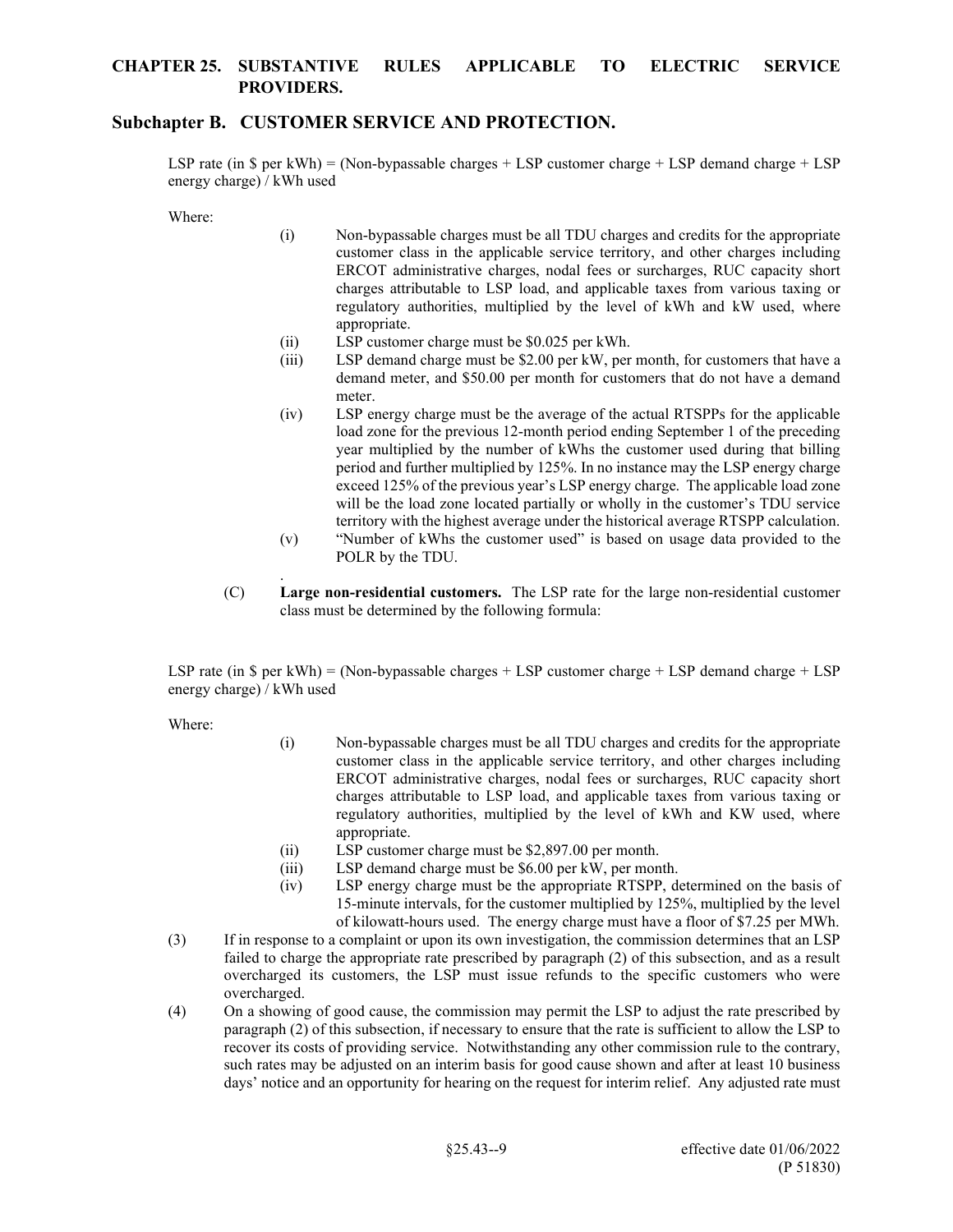#### **Subchapter B. CUSTOMER SERVICE AND PROTECTION.**

LSP rate (in  $\$$  per kWh) = (Non-bypassable charges + LSP customer charge + LSP demand charge + LSP energy charge) / kWh used

Where:

- (i) Non-bypassable charges must be all TDU charges and credits for the appropriate customer class in the applicable service territory, and other charges including ERCOT administrative charges, nodal fees or surcharges, RUC capacity short charges attributable to LSP load, and applicable taxes from various taxing or regulatory authorities, multiplied by the level of kWh and kW used, where appropriate.
- (ii) LSP customer charge must be \$0.025 per kWh.
- (iii) LSP demand charge must be \$2.00 per kW, per month, for customers that have a demand meter, and \$50.00 per month for customers that do not have a demand meter.
- (iv) LSP energy charge must be the average of the actual RTSPPs for the applicable load zone for the previous 12-month period ending September 1 of the preceding year multiplied by the number of kWhs the customer used during that billing period and further multiplied by 125%. In no instance may the LSP energy charge exceed 125% of the previous year's LSP energy charge. The applicable load zone will be the load zone located partially or wholly in the customer's TDU service territory with the highest average under the historical average RTSPP calculation.
- (v) "Number of kWhs the customer used" is based on usage data provided to the POLR by the TDU.
- (C) **Large non-residential customers.** The LSP rate for the large non-residential customer class must be determined by the following formula:

LSP rate (in  $\$$  per kWh) = (Non-bypassable charges + LSP customer charge + LSP demand charge + LSP energy charge) / kWh used

Where:

.

- (i) Non-bypassable charges must be all TDU charges and credits for the appropriate customer class in the applicable service territory, and other charges including ERCOT administrative charges, nodal fees or surcharges, RUC capacity short charges attributable to LSP load, and applicable taxes from various taxing or regulatory authorities, multiplied by the level of kWh and KW used, where appropriate.
- (ii) LSP customer charge must be \$2,897.00 per month.
- (iii) LSP demand charge must be \$6.00 per kW, per month.
- (iv) LSP energy charge must be the appropriate RTSPP, determined on the basis of 15-minute intervals, for the customer multiplied by 125%, multiplied by the level of kilowatt-hours used. The energy charge must have a floor of \$7.25 per MWh.
- (3) If in response to a complaint or upon its own investigation, the commission determines that an LSP failed to charge the appropriate rate prescribed by paragraph (2) of this subsection, and as a result overcharged its customers, the LSP must issue refunds to the specific customers who were overcharged.
- (4) On a showing of good cause, the commission may permit the LSP to adjust the rate prescribed by paragraph (2) of this subsection, if necessary to ensure that the rate is sufficient to allow the LSP to recover its costs of providing service. Notwithstanding any other commission rule to the contrary, such rates may be adjusted on an interim basis for good cause shown and after at least 10 business days' notice and an opportunity for hearing on the request for interim relief. Any adjusted rate must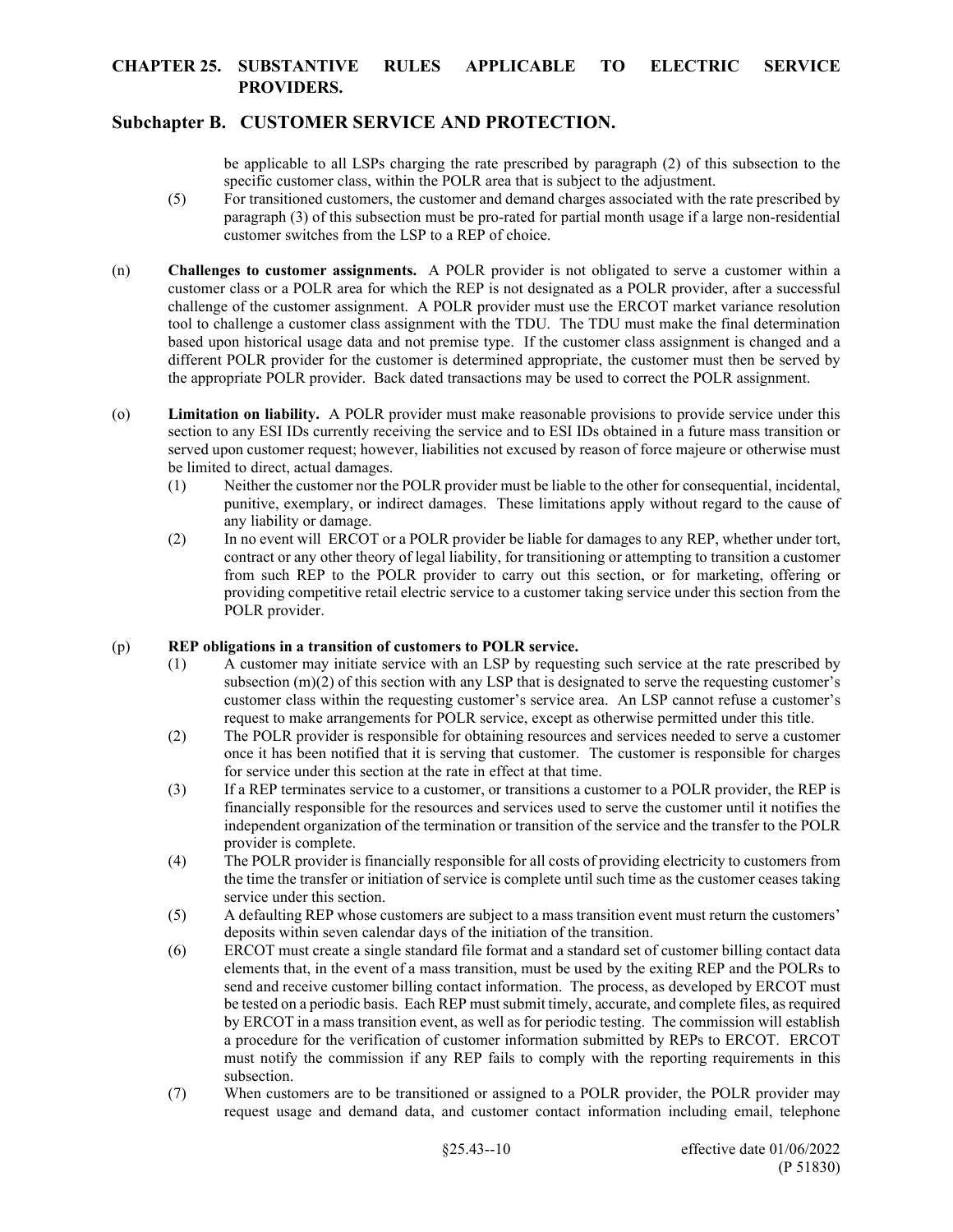# **Subchapter B. CUSTOMER SERVICE AND PROTECTION.**

be applicable to all LSPs charging the rate prescribed by paragraph (2) of this subsection to the specific customer class, within the POLR area that is subject to the adjustment.

- (5) For transitioned customers, the customer and demand charges associated with the rate prescribed by paragraph (3) of this subsection must be pro-rated for partial month usage if a large non-residential customer switches from the LSP to a REP of choice.
- (n) **Challenges to customer assignments.** A POLR provider is not obligated to serve a customer within a customer class or a POLR area for which the REP is not designated as a POLR provider, after a successful challenge of the customer assignment. A POLR provider must use the ERCOT market variance resolution tool to challenge a customer class assignment with the TDU. The TDU must make the final determination based upon historical usage data and not premise type. If the customer class assignment is changed and a different POLR provider for the customer is determined appropriate, the customer must then be served by the appropriate POLR provider. Back dated transactions may be used to correct the POLR assignment.
- (o) **Limitation on liability.** A POLR provider must make reasonable provisions to provide service under this section to any ESI IDs currently receiving the service and to ESI IDs obtained in a future mass transition or served upon customer request; however, liabilities not excused by reason of force majeure or otherwise must be limited to direct, actual damages.
	- (1) Neither the customer nor the POLR provider must be liable to the other for consequential, incidental, punitive, exemplary, or indirect damages. These limitations apply without regard to the cause of any liability or damage.
	- (2) In no event will ERCOT or a POLR provider be liable for damages to any REP, whether under tort, contract or any other theory of legal liability, for transitioning or attempting to transition a customer from such REP to the POLR provider to carry out this section, or for marketing, offering or providing competitive retail electric service to a customer taking service under this section from the POLR provider.

#### (p) **REP obligations in a transition of customers to POLR service.**

- (1) A customer may initiate service with an LSP by requesting such service at the rate prescribed by subsection (m)(2) of this section with any LSP that is designated to serve the requesting customer's customer class within the requesting customer's service area. An LSP cannot refuse a customer's request to make arrangements for POLR service, except as otherwise permitted under this title.
- (2) The POLR provider is responsible for obtaining resources and services needed to serve a customer once it has been notified that it is serving that customer. The customer is responsible for charges for service under this section at the rate in effect at that time.
- (3) If a REP terminates service to a customer, or transitions a customer to a POLR provider, the REP is financially responsible for the resources and services used to serve the customer until it notifies the independent organization of the termination or transition of the service and the transfer to the POLR provider is complete.
- (4) The POLR provider is financially responsible for all costs of providing electricity to customers from the time the transfer or initiation of service is complete until such time as the customer ceases taking service under this section.
- (5) A defaulting REP whose customers are subject to a mass transition event must return the customers' deposits within seven calendar days of the initiation of the transition.
- (6) ERCOT must create a single standard file format and a standard set of customer billing contact data elements that, in the event of a mass transition, must be used by the exiting REP and the POLRs to send and receive customer billing contact information. The process, as developed by ERCOT must be tested on a periodic basis. Each REP must submit timely, accurate, and complete files, as required by ERCOT in a mass transition event, as well as for periodic testing. The commission will establish a procedure for the verification of customer information submitted by REPs to ERCOT. ERCOT must notify the commission if any REP fails to comply with the reporting requirements in this subsection.
- (7) When customers are to be transitioned or assigned to a POLR provider, the POLR provider may request usage and demand data, and customer contact information including email, telephone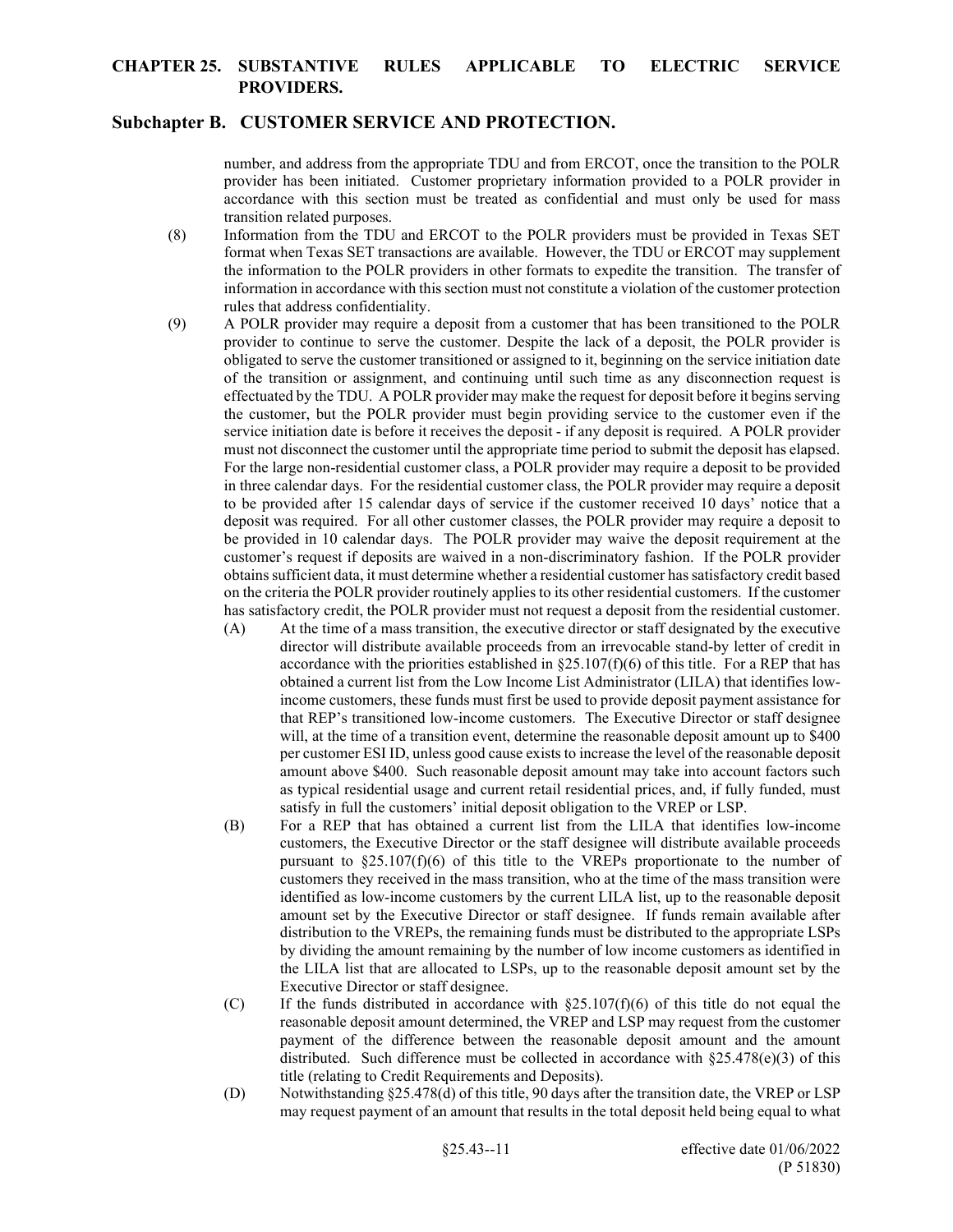#### **Subchapter B. CUSTOMER SERVICE AND PROTECTION.**

number, and address from the appropriate TDU and from ERCOT, once the transition to the POLR provider has been initiated. Customer proprietary information provided to a POLR provider in accordance with this section must be treated as confidential and must only be used for mass transition related purposes.

- (8) Information from the TDU and ERCOT to the POLR providers must be provided in Texas SET format when Texas SET transactions are available. However, the TDU or ERCOT may supplement the information to the POLR providers in other formats to expedite the transition. The transfer of information in accordance with this section must not constitute a violation of the customer protection rules that address confidentiality.
- (9) A POLR provider may require a deposit from a customer that has been transitioned to the POLR provider to continue to serve the customer. Despite the lack of a deposit, the POLR provider is obligated to serve the customer transitioned or assigned to it, beginning on the service initiation date of the transition or assignment, and continuing until such time as any disconnection request is effectuated by the TDU. A POLR provider may make the request for deposit before it begins serving the customer, but the POLR provider must begin providing service to the customer even if the service initiation date is before it receives the deposit - if any deposit is required. A POLR provider must not disconnect the customer until the appropriate time period to submit the deposit has elapsed. For the large non-residential customer class, a POLR provider may require a deposit to be provided in three calendar days. For the residential customer class, the POLR provider may require a deposit to be provided after 15 calendar days of service if the customer received 10 days' notice that a deposit was required. For all other customer classes, the POLR provider may require a deposit to be provided in 10 calendar days. The POLR provider may waive the deposit requirement at the customer's request if deposits are waived in a non-discriminatory fashion. If the POLR provider obtains sufficient data, it must determine whether a residential customer has satisfactory credit based on the criteria the POLR provider routinely applies to its other residential customers. If the customer has satisfactory credit, the POLR provider must not request a deposit from the residential customer.
	- (A) At the time of a mass transition, the executive director or staff designated by the executive director will distribute available proceeds from an irrevocable stand-by letter of credit in accordance with the priorities established in  $\S 25.107(f)(6)$  of this title. For a REP that has obtained a current list from the Low Income List Administrator (LILA) that identifies lowincome customers, these funds must first be used to provide deposit payment assistance for that REP's transitioned low-income customers. The Executive Director or staff designee will, at the time of a transition event, determine the reasonable deposit amount up to \$400 per customer ESI ID, unless good cause exists to increase the level of the reasonable deposit amount above \$400. Such reasonable deposit amount may take into account factors such as typical residential usage and current retail residential prices, and, if fully funded, must satisfy in full the customers' initial deposit obligation to the VREP or LSP.
	- (B) For a REP that has obtained a current list from the LILA that identifies low-income customers, the Executive Director or the staff designee will distribute available proceeds pursuant to  $\S 25.107(f)(6)$  of this title to the VREPs proportionate to the number of customers they received in the mass transition, who at the time of the mass transition were identified as low-income customers by the current LILA list, up to the reasonable deposit amount set by the Executive Director or staff designee. If funds remain available after distribution to the VREPs, the remaining funds must be distributed to the appropriate LSPs by dividing the amount remaining by the number of low income customers as identified in the LILA list that are allocated to LSPs, up to the reasonable deposit amount set by the Executive Director or staff designee.
	- (C) If the funds distributed in accordance with  $\S 25.107(f)(6)$  of this title do not equal the reasonable deposit amount determined, the VREP and LSP may request from the customer payment of the difference between the reasonable deposit amount and the amount distributed. Such difference must be collected in accordance with  $\S25.478(e)(3)$  of this title (relating to Credit Requirements and Deposits).
	- (D) Notwithstanding §25.478(d) of this title, 90 days after the transition date, the VREP or LSP may request payment of an amount that results in the total deposit held being equal to what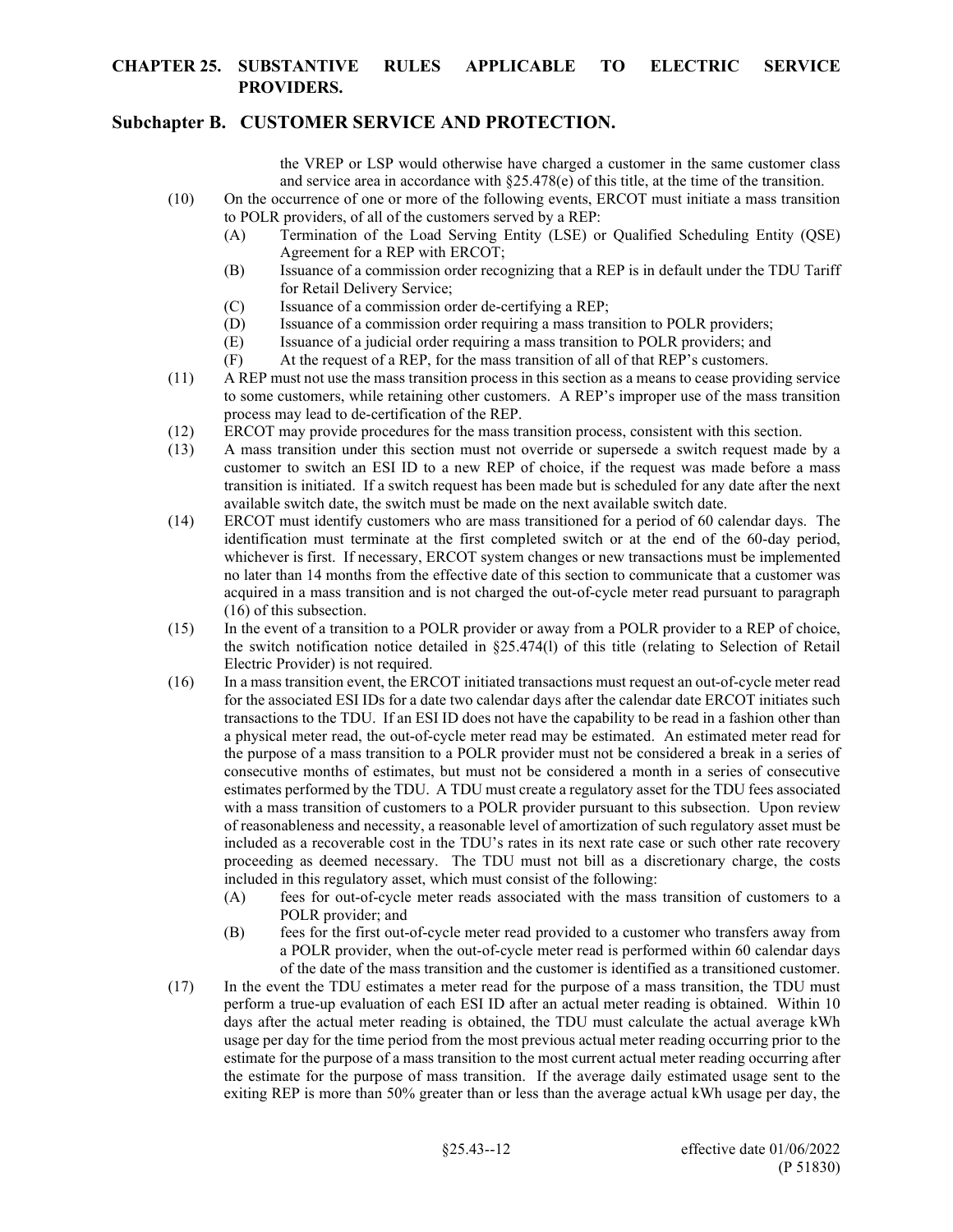### **Subchapter B. CUSTOMER SERVICE AND PROTECTION.**

the VREP or LSP would otherwise have charged a customer in the same customer class and service area in accordance with §25.478(e) of this title, at the time of the transition.

- (10) On the occurrence of one or more of the following events, ERCOT must initiate a mass transition to POLR providers, of all of the customers served by a REP:
	- (A) Termination of the Load Serving Entity (LSE) or Qualified Scheduling Entity (QSE) Agreement for a REP with ERCOT;
	- (B) Issuance of a commission order recognizing that a REP is in default under the TDU Tariff for Retail Delivery Service;
	- (C) Issuance of a commission order de-certifying a REP;
	- (D) Issuance of a commission order requiring a mass transition to POLR providers;
	- (E) Issuance of a judicial order requiring a mass transition to POLR providers; and
	- (F) At the request of a REP, for the mass transition of all of that REP's customers.
- (11) A REP must not use the mass transition process in this section as a means to cease providing service to some customers, while retaining other customers. A REP's improper use of the mass transition process may lead to de-certification of the REP.
- (12) ERCOT may provide procedures for the mass transition process, consistent with this section.
- (13) A mass transition under this section must not override or supersede a switch request made by a customer to switch an ESI ID to a new REP of choice, if the request was made before a mass transition is initiated. If a switch request has been made but is scheduled for any date after the next available switch date, the switch must be made on the next available switch date.
- (14) ERCOT must identify customers who are mass transitioned for a period of 60 calendar days. The identification must terminate at the first completed switch or at the end of the 60-day period, whichever is first. If necessary, ERCOT system changes or new transactions must be implemented no later than 14 months from the effective date of this section to communicate that a customer was acquired in a mass transition and is not charged the out-of-cycle meter read pursuant to paragraph (16) of this subsection.
- (15) In the event of a transition to a POLR provider or away from a POLR provider to a REP of choice, the switch notification notice detailed in §25.474(l) of this title (relating to Selection of Retail Electric Provider) is not required.
- (16) In a mass transition event, the ERCOT initiated transactions must request an out-of-cycle meter read for the associated ESI IDs for a date two calendar days after the calendar date ERCOT initiates such transactions to the TDU. If an ESI ID does not have the capability to be read in a fashion other than a physical meter read, the out-of-cycle meter read may be estimated. An estimated meter read for the purpose of a mass transition to a POLR provider must not be considered a break in a series of consecutive months of estimates, but must not be considered a month in a series of consecutive estimates performed by the TDU. A TDU must create a regulatory asset for the TDU fees associated with a mass transition of customers to a POLR provider pursuant to this subsection. Upon review of reasonableness and necessity, a reasonable level of amortization of such regulatory asset must be included as a recoverable cost in the TDU's rates in its next rate case or such other rate recovery proceeding as deemed necessary. The TDU must not bill as a discretionary charge, the costs included in this regulatory asset, which must consist of the following:
	- (A) fees for out-of-cycle meter reads associated with the mass transition of customers to a POLR provider; and
	- (B) fees for the first out-of-cycle meter read provided to a customer who transfers away from a POLR provider, when the out-of-cycle meter read is performed within 60 calendar days of the date of the mass transition and the customer is identified as a transitioned customer.
- (17) In the event the TDU estimates a meter read for the purpose of a mass transition, the TDU must perform a true-up evaluation of each ESI ID after an actual meter reading is obtained. Within 10 days after the actual meter reading is obtained, the TDU must calculate the actual average kWh usage per day for the time period from the most previous actual meter reading occurring prior to the estimate for the purpose of a mass transition to the most current actual meter reading occurring after the estimate for the purpose of mass transition. If the average daily estimated usage sent to the exiting REP is more than 50% greater than or less than the average actual kWh usage per day, the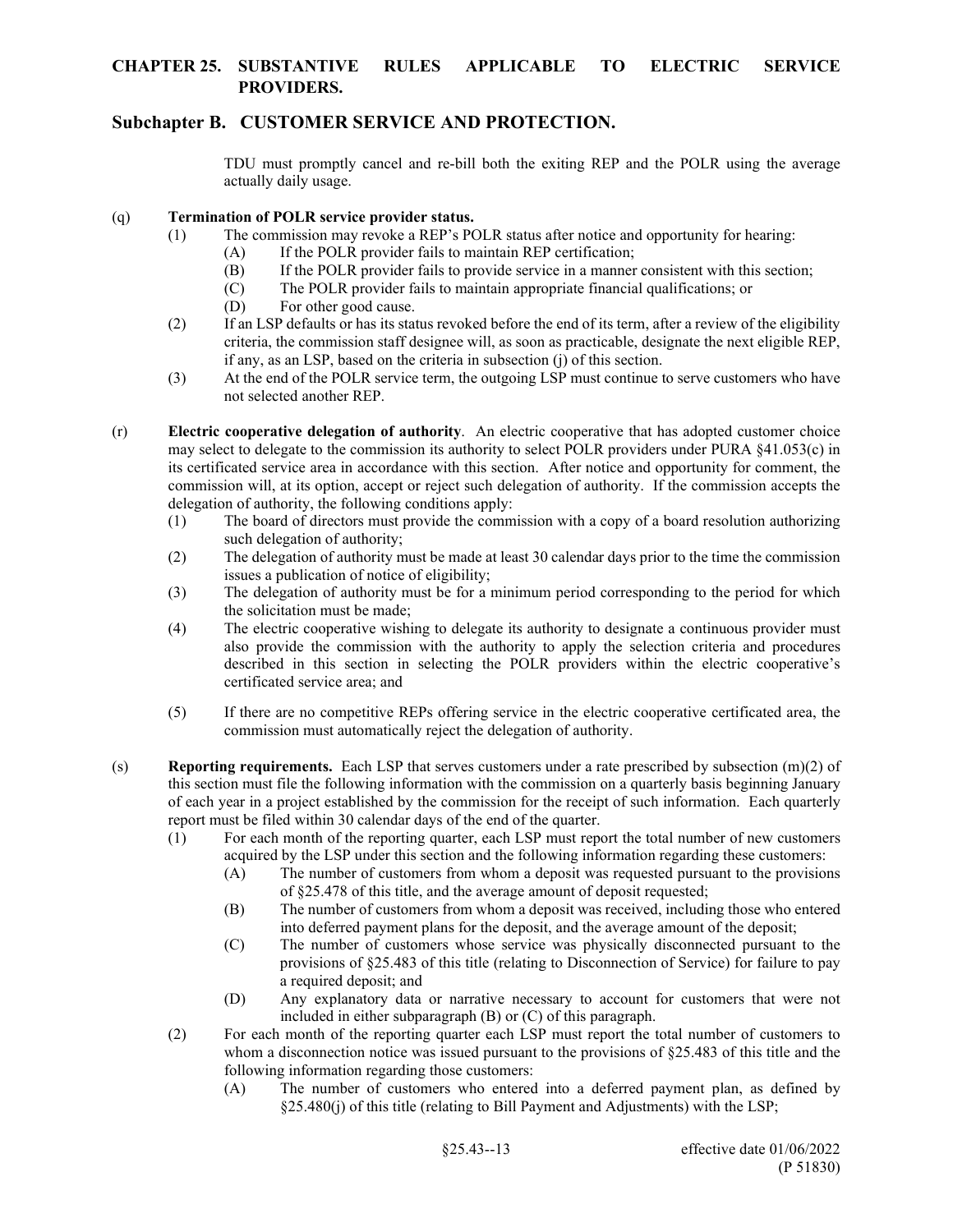# **Subchapter B. CUSTOMER SERVICE AND PROTECTION.**

TDU must promptly cancel and re-bill both the exiting REP and the POLR using the average actually daily usage.

#### (q) **Termination of POLR service provider status.**

- (1) The commission may revoke a REP's POLR status after notice and opportunity for hearing:
	- (A) If the POLR provider fails to maintain REP certification;
	- (B) If the POLR provider fails to provide service in a manner consistent with this section;
	- (C) The POLR provider fails to maintain appropriate financial qualifications; or
	- (D) For other good cause.
- (2) If an LSP defaults or has its status revoked before the end of its term, after a review of the eligibility criteria, the commission staff designee will, as soon as practicable, designate the next eligible REP, if any, as an LSP, based on the criteria in subsection (j) of this section.
- (3) At the end of the POLR service term, the outgoing LSP must continue to serve customers who have not selected another REP.
- (r) **Electric cooperative delegation of authority**. An electric cooperative that has adopted customer choice may select to delegate to the commission its authority to select POLR providers under PURA §41.053(c) in its certificated service area in accordance with this section. After notice and opportunity for comment, the commission will, at its option, accept or reject such delegation of authority. If the commission accepts the delegation of authority, the following conditions apply:
	- (1) The board of directors must provide the commission with a copy of a board resolution authorizing such delegation of authority;
	- (2) The delegation of authority must be made at least 30 calendar days prior to the time the commission issues a publication of notice of eligibility;
	- (3) The delegation of authority must be for a minimum period corresponding to the period for which the solicitation must be made;
	- (4) The electric cooperative wishing to delegate its authority to designate a continuous provider must also provide the commission with the authority to apply the selection criteria and procedures described in this section in selecting the POLR providers within the electric cooperative's certificated service area; and
	- (5) If there are no competitive REPs offering service in the electric cooperative certificated area, the commission must automatically reject the delegation of authority.
- (s) **Reporting requirements.** Each LSP that serves customers under a rate prescribed by subsection (m)(2) of this section must file the following information with the commission on a quarterly basis beginning January of each year in a project established by the commission for the receipt of such information. Each quarterly report must be filed within 30 calendar days of the end of the quarter.
	- (1) For each month of the reporting quarter, each LSP must report the total number of new customers acquired by the LSP under this section and the following information regarding these customers:
		- (A) The number of customers from whom a deposit was requested pursuant to the provisions of §25.478 of this title, and the average amount of deposit requested;
		- (B) The number of customers from whom a deposit was received, including those who entered into deferred payment plans for the deposit, and the average amount of the deposit;
		- (C) The number of customers whose service was physically disconnected pursuant to the provisions of §25.483 of this title (relating to Disconnection of Service) for failure to pay a required deposit; and
		- (D) Any explanatory data or narrative necessary to account for customers that were not included in either subparagraph (B) or (C) of this paragraph.
	- (2) For each month of the reporting quarter each LSP must report the total number of customers to whom a disconnection notice was issued pursuant to the provisions of §25.483 of this title and the following information regarding those customers:
		- (A) The number of customers who entered into a deferred payment plan, as defined by §25.480(j) of this title (relating to Bill Payment and Adjustments) with the LSP;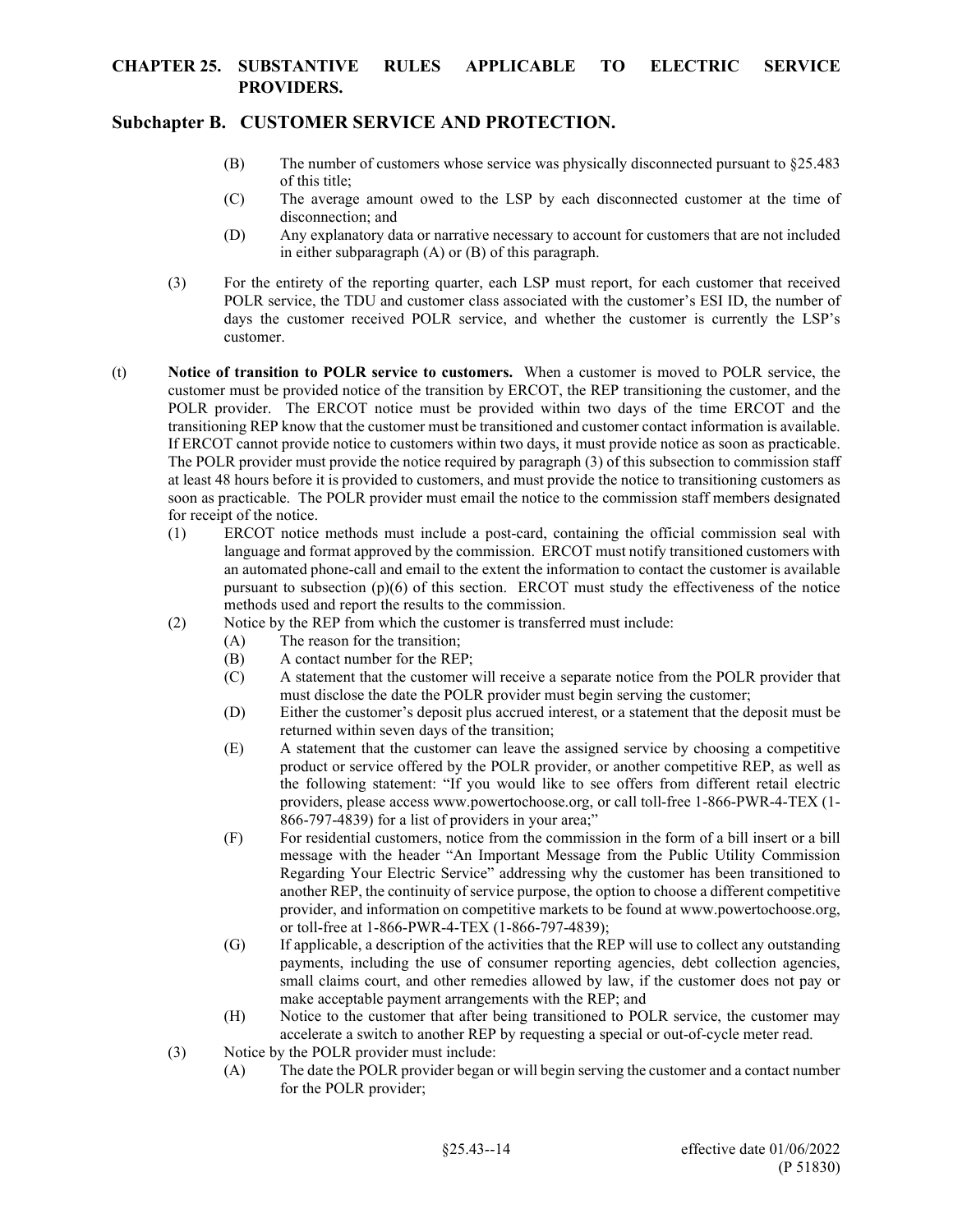# **Subchapter B. CUSTOMER SERVICE AND PROTECTION.**

- (B) The number of customers whose service was physically disconnected pursuant to §25.483 of this title;
- (C) The average amount owed to the LSP by each disconnected customer at the time of disconnection; and
- (D) Any explanatory data or narrative necessary to account for customers that are not included in either subparagraph (A) or (B) of this paragraph.
- (3) For the entirety of the reporting quarter, each LSP must report, for each customer that received POLR service, the TDU and customer class associated with the customer's ESI ID, the number of days the customer received POLR service, and whether the customer is currently the LSP's customer.
- (t) **Notice of transition to POLR service to customers.** When a customer is moved to POLR service, the customer must be provided notice of the transition by ERCOT, the REP transitioning the customer, and the POLR provider. The ERCOT notice must be provided within two days of the time ERCOT and the transitioning REP know that the customer must be transitioned and customer contact information is available. If ERCOT cannot provide notice to customers within two days, it must provide notice as soon as practicable. The POLR provider must provide the notice required by paragraph (3) of this subsection to commission staff at least 48 hours before it is provided to customers, and must provide the notice to transitioning customers as soon as practicable. The POLR provider must email the notice to the commission staff members designated for receipt of the notice.
	- (1) ERCOT notice methods must include a post-card, containing the official commission seal with language and format approved by the commission. ERCOT must notify transitioned customers with an automated phone-call and email to the extent the information to contact the customer is available pursuant to subsection (p)(6) of this section. ERCOT must study the effectiveness of the notice methods used and report the results to the commission.
	- (2) Notice by the REP from which the customer is transferred must include:
		- (A) The reason for the transition;
		- (B) A contact number for the REP;
		- (C) A statement that the customer will receive a separate notice from the POLR provider that must disclose the date the POLR provider must begin serving the customer;
		- (D) Either the customer's deposit plus accrued interest, or a statement that the deposit must be returned within seven days of the transition;
		- (E) A statement that the customer can leave the assigned service by choosing a competitive product or service offered by the POLR provider, or another competitive REP, as well as the following statement: "If you would like to see offers from different retail electric providers, please access www.powertochoose.org, or call toll-free 1-866-PWR-4-TEX (1- 866-797-4839) for a list of providers in your area;"
		- (F) For residential customers, notice from the commission in the form of a bill insert or a bill message with the header "An Important Message from the Public Utility Commission Regarding Your Electric Service" addressing why the customer has been transitioned to another REP, the continuity of service purpose, the option to choose a different competitive provider, and information on competitive markets to be found at www.powertochoose.org, or toll-free at 1-866-PWR-4-TEX (1-866-797-4839);
		- (G) If applicable, a description of the activities that the REP will use to collect any outstanding payments, including the use of consumer reporting agencies, debt collection agencies, small claims court, and other remedies allowed by law, if the customer does not pay or make acceptable payment arrangements with the REP; and
		- (H) Notice to the customer that after being transitioned to POLR service, the customer may accelerate a switch to another REP by requesting a special or out-of-cycle meter read.
	- (3) Notice by the POLR provider must include:
		- (A) The date the POLR provider began or will begin serving the customer and a contact number for the POLR provider;